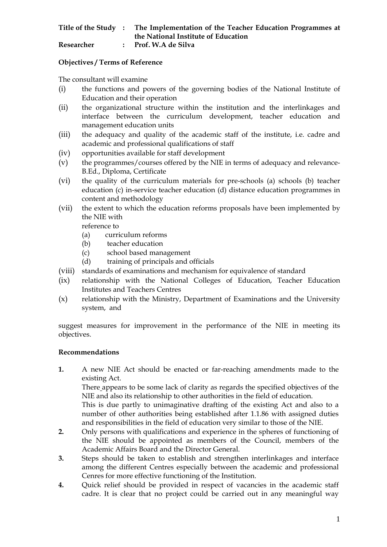|            | Title of the Study: The Implementation of the Teacher Education Programmes at |
|------------|-------------------------------------------------------------------------------|
|            | the National Institute of Education                                           |
| Researcher | Prof. W.A de Silva                                                            |

## **Objectives / Terms of Reference**

The consultant will examine

- (i) the functions and powers of the governing bodies of the National Institute of Education and their operation
- (ii) the organizational structure within the institution and the interlinkages and interface between the curriculum development, teacher education and management education units
- (iii) the adequacy and quality of the academic staff of the institute, i.e. cadre and academic and professional qualifications of staff
- (iv) opportunities available for staff development
- (v) the programmes/courses offered by the NIE in terms of adequacy and relevance-B.Ed., Diploma, Certificate
- (vi) the quality of the curriculum materials for pre-schools (a) schools (b) teacher education (c) in-service teacher education (d) distance education programmes in content and methodology
- (vii) the extent to which the education reforms proposals have been implemented by the NIE with

reference to

- (a) curriculum reforms
- (b) teacher education
- (c) school based management
- (d) training of principals and officials
- (viii) standards of examinations and mechanism for equivalence of standard
- (ix) relationship with the National Colleges of Education, Teacher Education Institutes and Teachers Centres
- (x) relationship with the Ministry, Department of Examinations and the University system, and

suggest measures for improvement in the performance of the NIE in meeting its objectives.

## **Recommendations**

**1.** A new NIE Act should be enacted or far-reaching amendments made to the existing Act.

 There appears to be some lack of clarity as regards the specified objectives of the NIE and also its relationship to other authorities in the field of education.

 This is due partly to unimaginative drafting of the existing Act and also to a number of other authorities being established after 1.1.86 with assigned duties and responsibilities in the field of education very similar to those of the NIE.

- **2.** Only persons with qualifications and experience in the spheres of functioning of the NIE should be appointed as members of the Council, members of the Academic Affairs Board and the Director General.
- **3.** Steps should be taken to establish and strengthen interlinkages and interface among the different Centres especially between the academic and professional Cenres for more effective functioning of the Institution.
- **4.** Quick relief should be provided in respect of vacancies in the academic staff cadre. It is clear that no project could be carried out in any meaningful way